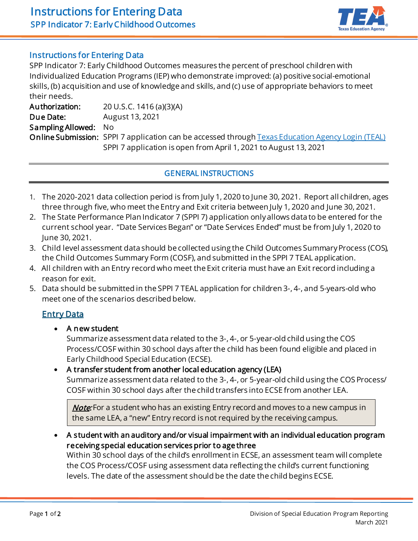

## Instructions for Entering Data

 SPP Indicator 7: Early Childhood Outcomes measures the percent of preschool children with Individualized Education Programs (IEP) who demonstrate improved: (a) positive social-emotional skills, (b) acquisition and use of knowledge and skills, and (c) use of appropriate behaviors to meet their needs.

 Authorization: 20 U.S.C. 1416 (a)(3)(A) Sampling Allowed: No **Online Submission:** SPPI 7 application can be accessed through **Texas Education Agency Login (TEAL)**  SPPI 7 application is open from April 1, 2021 to August 13, 2021 Due Date: August 13, 2021

### GENERAL INSTRUCTIONS

- 1. The 2020-2021 data collection period is from July 1, 2020 to June 30, 2021. Report all children, ages three through five, who meet the Entry and Exit criteria between July 1, 2020 and June 30, 2021.
- 2. The State Performance Plan Indicator 7 (SPPI 7) application only allows data to be entered for the current school year. "Date Services Began" or "Date Services Ended" must be from July 1, 2020 to June 30, 2021.
- 3. Child level assessment data should be collected using the Child Outcomes Summary Process (COS), the Child Outcomes Summary Form (COSF), and submitted in the SPPI 7 TEAL application.
- 4. All children with an Entry record who meet the Exit criteria must have an Exit record including a reason for exit.
- 5. Data should be submitted in the SPPI 7 TEAL application for children 3-, 4-, and 5-years-old who meet one of the scenarios described below.

## Entry Data

• A new student

 Summarize assessment data related to the 3-, 4-, or 5-year-old child using the COS Process/COSF within 30 school days after the child has been found eligible and placed in Early Childhood Special Education (ECSE).

 • A transfer student from another local education agency (LEA) Summarize assessment data related to the 3-, 4-, or 5-year-old child using the COS Process/ COSF within 30 school days after the child transfers into ECSE from another LEA.

*Note*: For a student who has an existing Entry record and moves to a new campus in  $\,$ the same LEA, a "new" Entry record is not required by the receiving campus.

 • A student with an auditory and/or visual impairment with an individual education program receiving special education services prior to age three

 Within 30 school days of the child's enrollment in ECSE, an assessment team will complete the COS Process/COSF using assessment data reflecting the child's current functioning levels. The date of the assessment should be the date the child begins ECSE.